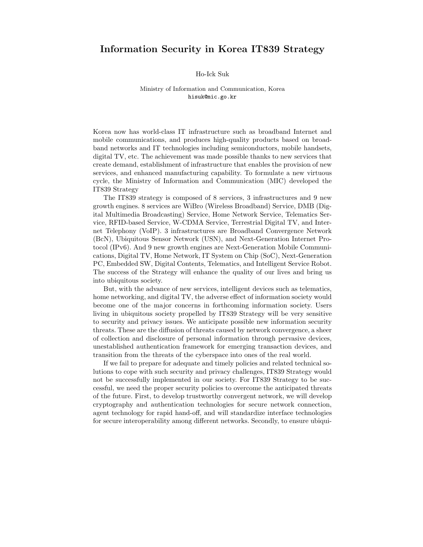## Information Security in Korea IT839 Strategy

## Ho-Ick Suk

## Ministry of Information and Communication, Korea hisuk@mic.go.kr

Korea now has world-class IT infrastructure such as broadband Internet and mobile communications, and produces high-quality products based on broadband networks and IT technologies including semiconductors, mobile handsets, digital TV, etc. The achievement was made possible thanks to new services that create demand, establishment of infrastructure that enables the provision of new services, and enhanced manufacturing capability. To formulate a new virtuous cycle, the Ministry of Information and Communication (MIC) developed the IT839 Strategy

The IT839 strategy is composed of 8 services, 3 infrastructures and 9 new growth engines. 8 services are WiBro (Wireless Broadband) Service, DMB (Digital Multimedia Broadcasting) Service, Home Network Service, Telematics Service, RFID-based Service, W-CDMA Service, Terrestrial Digital TV, and Internet Telephony (VoIP). 3 infrastructures are Broadband Convergence Network (BcN), Ubiquitous Sensor Network (USN), and Next-Generation Internet Protocol (IPv6). And 9 new growth engines are Next-Generation Mobile Communications, Digital TV, Home Network, IT System on Chip (SoC), Next-Generation PC, Embedded SW, Digital Contents, Telematics, and Intelligent Service Robot. The success of the Strategy will enhance the quality of our lives and bring us into ubiquitous society.

But, with the advance of new services, intelligent devices such as telematics, home networking, and digital TV, the adverse effect of information society would become one of the major concerns in forthcoming information society. Users living in ubiquitous society propelled by IT839 Strategy will be very sensitive to security and privacy issues. We anticipate possible new information security threats. These are the diffusion of threats caused by network convergence, a sheer of collection and disclosure of personal information through pervasive devices, unestablished authentication framework for emerging transaction devices, and transition from the threats of the cyberspace into ones of the real world.

If we fail to prepare for adequate and timely policies and related technical solutions to cope with such security and privacy challenges, IT839 Strategy would not be successfully implemented in our society. For IT839 Strategy to be successful, we need the proper security policies to overcome the anticipated threats of the future. First, to develop trustworthy convergent network, we will develop cryptography and authentication technologies for secure network connection, agent technology for rapid hand-off, and will standardize interface technologies for secure interoperability among different networks. Secondly, to ensure ubiqui